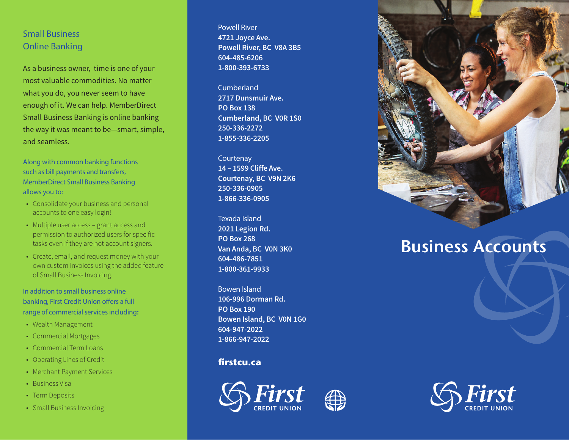## Small Business Online Banking

As a business owner, time is one of your most valuable commodities. No matter what you do, you never seem to have enough of it. We can help. MemberDirect Small Business Banking is online banking the way it was meant to be—smart, simple, and seamless.

Along with common banking functions such as bill payments and transfers, MemberDirect Small Business Banking allows you to:

- Consolidate your business and personal accounts to one easy login!
- Multiple user access grant access and permission to authorized users for specific tasks even if they are not account signers.
- Create, email, and request money with your own custom invoices using the added feature of Small Business Invoicing.

In addition to small business online banking, First Credit Union offers a full range of commercial services including **:**

- 
- Wealth Management<br>• Commercial Mortgages
- Commercial Term Loans
- Operating Lines of Credit
- Merchant Payment Services
- Business Visa
- Term Deposits
- Small Business Invoicing

Powell River **4721 Joyce Ave. Powell River, BC V8A 3B5 604-485-6206 1-800-393-6733**

Cumberland **2717 Dunsmuir Ave. PO Box 138 Cumberland, BC V0R 1S0 250-336-2272 1-855-336-2205**

**Courtenay 14 – 1599 Cliffe Ave. Courtenay, BC V9N 2K6 250-336-0905 1-866-336-0905**

Texada Island **2021 Legion Rd. PO Box 268 Van Anda, BC V0N 3K0 604-486-7851 1-800-361-9933**

Bowen Island **106-996 Dorman Rd. PO Box 190 Bowen Island, BC V0N 1G0 604-947-2022 1-866-947-2022**

## **firstcu.ca**





## **Business Accounts**